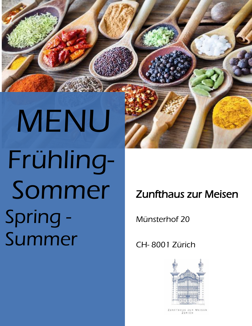MENU Frühling-Sommer Spring - Summer

i

Zunfthaus zur Meisen

Münsterhof 20

CH- 8001 Zürich



ZUNFTHAUS ZUR MEISEN ZÜRICH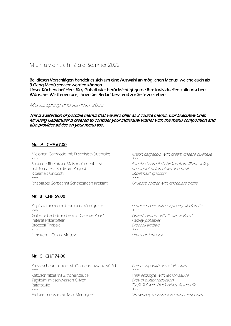# M e n u v o r s c h l ä g e Sommer 2022

Bei diesen Vorschlägen handelt es sich um eine Auswahl an möglichen Menus, welche auch als 3-Gang-Menü serviert werden können. Unser Küchenchef Herr Jürg Gabathuler berücksichtigt gerne Ihre individuellen kulinarischen Wünsche. Wir freuen uns, Ihnen bei Bedarf beratend zur Seite zu stehen.

## Menus spring and summer 2022

This is a selection of possible menus that we also offer as 3 course menus. Our Executive Chef, Mr Juerg Gabathuler is pleased to consider your individual wishes with the menu composition and also provides advice on your menu too.

## No. A CHF 67.00

Melonen Carpaccio mit Frischkäse-Quenelles  $\star\star\star$ Sautierte Rheintaler Maispoulardenbrust auf Tomaten- Basilikum Ragout Ribelmais Gnocchi \*\*\*

Rhabarber Sorbet mit Schokoladen Krokant

## Nr. B CHF 69.00

Kopfsalatherzen mit Himbeer-Vinaigrette \*\*\* Grillierte Lachstranche mit "Café de Paris" Petersilienkartoffeln Broccoli Timbale

Melon carpaccio with cream cheese quenelle \*\*\*

Pan fried corn fed chicken from Rhine valley on ragout of tomatoes and basil "Ribelmais" gnocchi \*\*\*

Rhubarb sorbet with chocolate brittle

Lettuce hearts with raspberry vinaigrette \*\*\*Grilled salmon with "Cafe de Paris" Parsley potatoes Broccoli timbale \*\*\*Lime curd mousse

## Nr. C CHF 74.00

Limetten – Quark Mousse

\*\*\*

Kresseschaumsuppe mit Ochsenschwanzwürfel \*\*\* Kalbsschnitzel mit Zitronensauce Tagliolini mit schwarzen Oliven Ratatouille \*\*\* Erdbeermousse mit Mini-Meringues

Cress soup with an oxtail cubes \*\*\*

Veal escalope with lemon sauce Brown butter reduction Tagliolini with black olives, Ratatouille \*\*\*

Strawberry mousse with mini meringues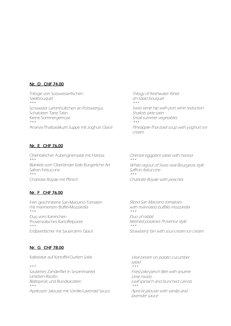## Nr. D CHF 74.00

Trilogie von Süsswasserfischen Salatbouquet \*\*\* Schweizer Lammhüftchen an Portweinjus Schalotten Tarte Tatin Kleine Sommergemüse \*\*\* Ananas-Thaibasilikum Suppe mit Joghurt Glacé

Nr. E CHF 76.00

Orientalischer Auberginensalat mit Harissa \*\*\* Blankett vom Oberländer Kalb Bürgerliche Art Safran Fettuccine \*\*\* Charlotte Royale mit Pfirsich

## Nr. F CHF 76.00

Fein geschnittene San-Marzano-Tomaten mit mariniertem Büffel-Mozzarella \*\*\* Duo vom Kaninchen Provenzalisches Kartoffelpüree \*\*\* Erdbeerfächer mit Sauerrahm Glacé

Nr. G CHF 78.00

Kalbstatar auf Kartoffel-Gurken Salat

\*\*\* Sautiertes Zanderfilet in Sesammantel Limetten-Risotto Blattspinat und Bundkarotten \*\*\* Aprikosen Jalousie mit Vanille-Lavendel Sauce

Trilogy of freshwater fishes on salad bouquet  $\star\star\star$ Swiss lamb hip with port wine reduction Shallots tarte tatin Small summer vegetables \*\*\*

Pineapple-Thai basil soup with yoghurt ice cream

Oriental eggplant salad with harissa \*\*\*White ragout of Swiss veal Bourgeois style Saffron fettuccine \*\*\*Charlotte Royale with peaches

Sliced San Marzano tomatoes with marinated buffalo mozzarella \*\*\*Duo of rabbit Mashed potatoes Provence style \*\*\*Strawberry fan with sour-cream ice cream

Veal tartare on potato cucumber salad \*\*\*Fried pike-perch fillet with sesame Lime risotto Leaf spinach and bunched carrots \*\*\*Apricot jalousie with vanilla and lavender sauce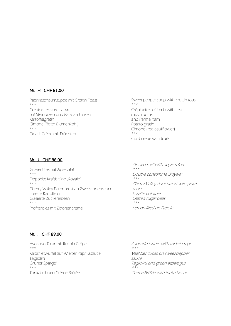#### Nr. H CHF 81.00

Paprikaschaumsuppe mit Crottin Toast \*\*\* Crépinettes vom Lamm mit Steinpilzen und Parmaschinken Kartoffelgratin Cimone (Roter Blumenkohl) \*\*\* Quark Crêpe mit Früchten

Sweet pepper soup with crottin toast \*\*\* Crépinettes of lamb with cep mushrooms and Parma ham Potato gratin Cimone (red cauliflower) \*\*\* Curd crepe with fruits

#### Nr. J CHF 88.00

Graved Lax mit Apfelsalat \*\*\* Doppelte Kraftbrühe "Royale"  $***$ Cherry Valley Entenbrust an Zwetschgensauce Lorette Kartoffeln Glasierte Zuckererbsen \*\*\* Profiteroles mit Zitronencreme

Graved Lax" with apple salad  $\star\star\star$ Double consomme "Royale" \*\*\*Cherry Valley duck breast with plum sauce Lorette potatoes Glazed sugar peas \*\*\*Lemon-filled profiterole

## Nr. I CHF 89.00

Avocado-Tatar mit Rucola Crêpe \*\*\* Kalbsfiletwürfel auf Wiener Paprikasauce **Tagliolini** Grüner Spargel \*\*\* Tonkabohnen Crème-Brûlée

Avocado tartare with rocket crepe \*\*\*Veal filet cubes on sweet-pepper sauce Tagliolini and green asparagus  $**\star$ Crème-Brûlée with tonka beans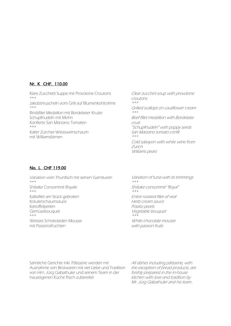## Nr. K CHF. 110.00

Klare Zucchetti Suppe mit Provolone Croutons \*\*\*

Jakobsmuscheln vom Grill auf Blumenkohlcrème \*\*\*

Rindsfilet Medaillon mit Bordelaiser Kruste Schupfnudeln mit Mohn Konfierte San Marzano Tomaten \*\*\*

Kalter Zürcher-Weissweinschaum mit Williamsbirnen

Clear zucchini soup with provolone croutons  $\star\star\star$ Grilled scallops on cauliflower cream \*\*\*Beef fillet medallion with Bordelaise crust "Schupfnudeln" with poppy seeds San Marzano tomato confit \*\*\*Cold sabayon with white wine from Zurich Williams pears

## No. L CHF 119.00

Variation vom Thunfisch mit seinen Garnituren \*\*\* Shiitake Consommé Royale \*\*\* Kalbsfilet am Stück gebraten Kräuterschaumsauce Kartoffelperlen Gemüsebouquet \*\*\* Weisses Schokoladen Mousse mit Passionsfrüchten

Variation of tuna with its trimmings  $* * *$ Shiitake consommé "Royal" \*\*\*

Entire roasted fillet of veal Herb cream sauce Potato pearls Vegetable bouquet \*\*\*

White chocolate mousse with passion fruits

Sämtliche Gerichte inkl. Pâtisserie werden mit Ausnahme von Brotwaren mit viel Liebe und Tradition von Hrn. Jürg Gabathuler und seinem Team in der hauseigenen Küche frisch zubereitet

All dishes including pâtisserie, with the exception of bread products, are freshly prepared in the in-house kitchen with love and tradition by Mr. Jürg Gabathuler and his team..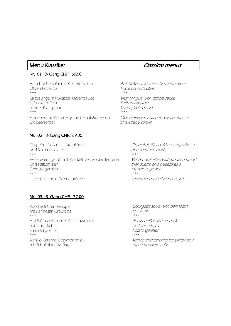#### Nr. 01 3- Gang CHF. 68.00

Artischockensalat mit Kirschtomaten Oliven-Focaccia \*\*\* Kalbszunge mit weisser Kapernsauce Safrankartoffeln Junger Blattspinat \*\*\* Französische Blätterteigschnitte mit Aprikosen Erdbeersorbet

## Nr. 02 3- Gang CHF. 69.00

Grapefruitfilets mit Hüttenkäse und Sommersalaten  $***$ Vol-au-vent gefüllt mit Blankett von Poulardenbrust und Kalbsmilken Gemüsegarnitur \*\*\* Lavendel-Honig Crème brûlée

# Menu Klassiker **Classical menus**

Artichoke salad with cherry tomatoes Focaccia with olives \*\*\*

Veal tongue with capers sauce Saffron potatoes Young leaf spinach \*\*\*

Slice of French puff pastry with apricots Strawberry sorbet

> Grapefruit fillets with cottage cheese and summer salads  $\star\star\star$

Vol au vent filled with poulard breast blanquette and sweetbread Market vegetable \*\*\*Lavender honey burnt cream

## Nr. 03 3- Gang CHF. 72.00

Zucchetti Crèmesuppe mit Parmesan-Croûtons \*\*\* Am Stück gebratenes Bierschweinfilet auf Krautstiel Kartoffelgaletten \*\*\* Vanille-Caramel Eissymphonie mit Schokoladenwürfel

Courgette soup with parmesan croutons  $\star\star\star$ 

Roasted fillet of beer pork on Swiss chard Potato galettes \*\*\*

Vanilla and caramel ice symphony with chocolate cube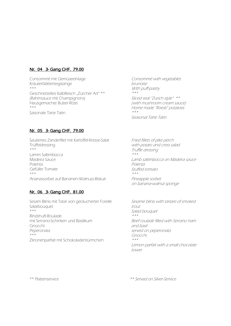## Nr. 04 3- Gang CHF. 79.00

Consommé mit Gemüseeinlage Kräuterblätterteigstange \*\*\* Geschnetzeltes Kalbfleisch "Zürcher Art" \*\* (Rahmsauce mit Champignons) Hausgemachte Butter-Rösti \*\*\* Saisonale Tarte Tatin

Consommé with vegetables brunoise With puff-pastry \*\*\*

Sliced veal "Zurich style" \*\* (with mushroom cream sauce) Home made "Roesti" potatoes \*\*\*

Seasonal Tarte Tatin

## Nr. 05 3- Gang CHF. 79.00

Sautiertes Zanderfilet mit Kartoffel-Kresse-Salat Trüffeldressing \*\*\* Lamm Saltimbocca Madeira Sauce Polenta Gefüllte Tomate \*\*\* Ananassorbet auf Bananen-Walnuss-Biskuit

## Nr. 06 3- Gang CHF. 81.00

Sesam Blinis mit Tatar von geräucherter Forelle Salatbouquet \*\*\* Rindshuft-Roulade mit Serrano-Schinken und Basilikum Gnocchi Peperonata  $***$ Zitronenparfait mit Schokoladentürmchen

Fried fillets of pike perch with potato and cress salad Truffle dressing  $* * *$ 

Lamb saltimbocca on Madeira sauce Polenta Stuffed tomato \*\*\*

Pineapple sorbet on banana-walnut sponge

Sesame blinis with tartare of smoked trout Salad bouquet \*\*\*Beef roulade filled with Serrano ham and basil served on peperonata Gnocchi \*\*\*Lemon parfait with a small chocolate tower

\*\* Plattenservice

\*\* Served on Silver-Service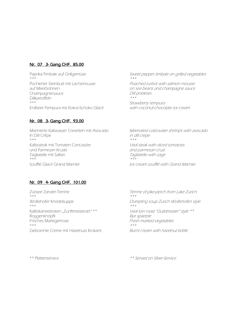## Nr. 07 3- Gang CHF. 85.00

Paprika-Timbale auf Grillgemüse \*\*\* Pochierter Steinbutt mit Lachsmousse auf Meerbohnen Champagnersauce Dillkartoffeln \*\*\* Erdbeer-Tempura mit Kokos-Schoko Glacé

## Nr. 08 3- Gang CHF. 93.00

Marinierte Kaltwasser Crevetten mit Avocado In Dill Crêpe \*\*\* Kalbssteak mit Tomaten Concassée und Parmesan Kruste Tagliatelle mit Salbei \*\*\* Soufflé Glacé Grand Marnier

Nr. 09 4- Gang CHF. 101.00

Zürisee Zander-Terrine \*\*\* Wollishofer Knödelsuppe \*\*\* Kalbskarreebraten "Zunftmeisterart" \*\* Roggenknöpfli Frisches Marktgemüse \*\*\* Gebrannte Creme mit Haselnuss Krokant Sweet pepper timbale on grilled vegetables \*\*\*Poached turbot with salmon mousse

on sea beans and champagne sauce Dill potatoes \*\*\*

Strawberry tempura with coconut-chocolate ice cream

Marinated cold-water shrimps with avocado in dill crepe \*\*\*

Veal steak with diced tomatoes and parmesan crust Tagliatelle with sage \*\*\*Ice cream soufflé with Grand Marnier

Terrine of pike-perch from Lake Zurich \*\*\*Dumpling soup Zurich Wollishofen style \*\*\*Veal loin roast "Guildmaster" style \*\* Rye spaetzle Fresh marked vegetables \*\*\*Burnt cream with hazelnut brittle

\*\* Plattenservice

\*\* Served on Silver-Service